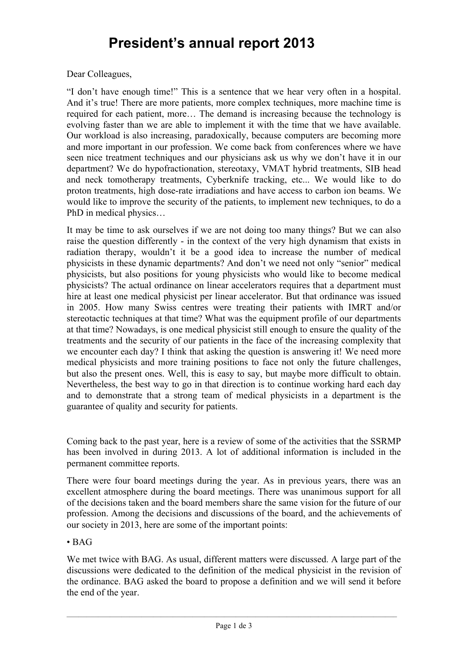## **President's annual report 2013**

## Dear Colleagues,

"I don't have enough time!" This is a sentence that we hear very often in a hospital. And it's true! There are more patients, more complex techniques, more machine time is required for each patient, more… The demand is increasing because the technology is evolving faster than we are able to implement it with the time that we have available. Our workload is also increasing, paradoxically, because computers are becoming more and more important in our profession. We come back from conferences where we have seen nice treatment techniques and our physicians ask us why we don't have it in our department? We do hypofractionation, stereotaxy, VMAT hybrid treatments, SIB head and neck tomotherapy treatments, Cyberknife tracking, etc... We would like to do proton treatments, high dose-rate irradiations and have access to carbon ion beams. We would like to improve the security of the patients, to implement new techniques, to do a PhD in medical physics…

It may be time to ask ourselves if we are not doing too many things? But we can also raise the question differently - in the context of the very high dynamism that exists in radiation therapy, wouldn't it be a good idea to increase the number of medical physicists in these dynamic departments? And don't we need not only "senior" medical physicists, but also positions for young physicists who would like to become medical physicists? The actual ordinance on linear accelerators requires that a department must hire at least one medical physicist per linear accelerator. But that ordinance was issued in 2005. How many Swiss centres were treating their patients with IMRT and/or stereotactic techniques at that time? What was the equipment profile of our departments at that time? Nowadays, is one medical physicist still enough to ensure the quality of the treatments and the security of our patients in the face of the increasing complexity that we encounter each day? I think that asking the question is answering it! We need more medical physicists and more training positions to face not only the future challenges, but also the present ones. Well, this is easy to say, but maybe more difficult to obtain. Nevertheless, the best way to go in that direction is to continue working hard each day and to demonstrate that a strong team of medical physicists in a department is the guarantee of quality and security for patients.

Coming back to the past year, here is a review of some of the activities that the SSRMP has been involved in during 2013. A lot of additional information is included in the permanent committee reports.

There were four board meetings during the year. As in previous years, there was an excellent atmosphere during the board meetings. There was unanimous support for all of the decisions taken and the board members share the same vision for the future of our profession. Among the decisions and discussions of the board, and the achievements of our society in 2013, here are some of the important points:

## • BAG

We met twice with BAG. As usual, different matters were discussed. A large part of the discussions were dedicated to the definition of the medical physicist in the revision of the ordinance. BAG asked the board to propose a definition and we will send it before the end of the year.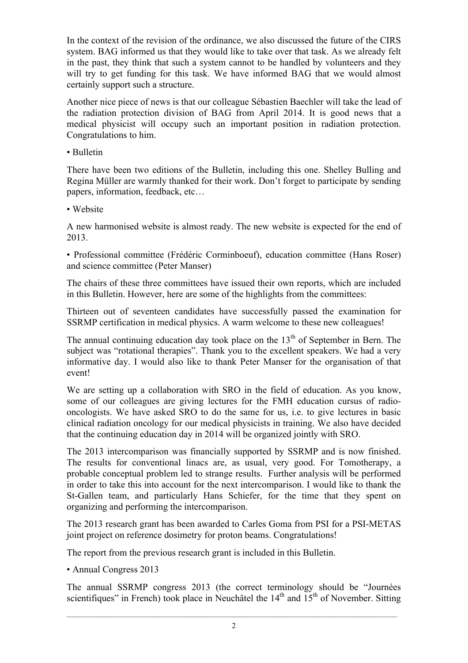In the context of the revision of the ordinance, we also discussed the future of the CIRS system. BAG informed us that they would like to take over that task. As we already felt in the past, they think that such a system cannot to be handled by volunteers and they will try to get funding for this task. We have informed BAG that we would almost certainly support such a structure.

Another nice piece of news is that our colleague Sébastien Baechler will take the lead of the radiation protection division of BAG from April 2014. It is good news that a medical physicist will occupy such an important position in radiation protection. Congratulations to him.

• Bulletin

There have been two editions of the Bulletin, including this one. Shelley Bulling and Regina Müller are warmly thanked for their work. Don't forget to participate by sending papers, information, feedback, etc…

• Website

A new harmonised website is almost ready. The new website is expected for the end of 2013.

• Professional committee (Frédéric Corminboeuf), education committee (Hans Roser) and science committee (Peter Manser)

The chairs of these three committees have issued their own reports, which are included in this Bulletin. However, here are some of the highlights from the committees:

Thirteen out of seventeen candidates have successfully passed the examination for SSRMP certification in medical physics. A warm welcome to these new colleagues!

The annual continuing education day took place on the  $13<sup>th</sup>$  of September in Bern. The subject was "rotational therapies". Thank you to the excellent speakers. We had a very informative day. I would also like to thank Peter Manser for the organisation of that event!

We are setting up a collaboration with SRO in the field of education. As you know, some of our colleagues are giving lectures for the FMH education cursus of radiooncologists. We have asked SRO to do the same for us, i.e. to give lectures in basic clinical radiation oncology for our medical physicists in training. We also have decided that the continuing education day in 2014 will be organized jointly with SRO.

The 2013 intercomparison was financially supported by SSRMP and is now finished. The results for conventional linacs are, as usual, very good. For Tomotherapy, a probable conceptual problem led to strange results. Further analysis will be performed in order to take this into account for the next intercomparison. I would like to thank the St-Gallen team, and particularly Hans Schiefer, for the time that they spent on organizing and performing the intercomparison.

The 2013 research grant has been awarded to Carles Goma from PSI for a PSI-METAS joint project on reference dosimetry for proton beams. Congratulations!

The report from the previous research grant is included in this Bulletin.

• Annual Congress 2013

The annual SSRMP congress 2013 (the correct terminology should be "Journées scientifiques" in French) took place in Neuchâtel the  $14<sup>th</sup>$  and  $15<sup>th</sup>$  of November. Sitting